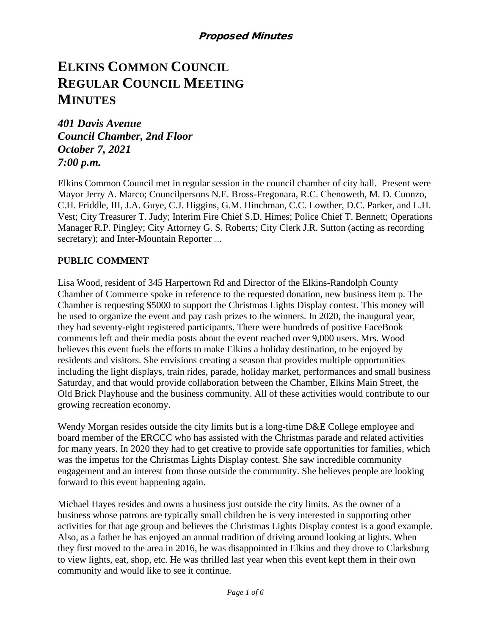# **ELKINS COMMON COUNCIL REGULAR COUNCIL MEETING MINUTES**

*401 Davis Avenue Council Chamber, 2nd Floor October 7, 2021 7:00 p.m.*

Elkins Common Council met in regular session in the council chamber of city hall. Present were Mayor Jerry A. Marco; Councilpersons N.E. Bross-Fregonara, R.C. Chenoweth, M. D. Cuonzo, C.H. Friddle, III, J.A. Guye, C.J. Higgins, G.M. Hinchman, C.C. Lowther, D.C. Parker, and L.H. Vest; City Treasurer T. Judy; Interim Fire Chief S.D. Himes; Police Chief T. Bennett; Operations Manager R.P. Pingley; City Attorney G. S. Roberts; City Clerk J.R. Sutton (acting as recording secretary); and Inter-Mountain Reporter ...

#### **PUBLIC COMMENT**

Lisa Wood, resident of 345 Harpertown Rd and Director of the Elkins-Randolph County Chamber of Commerce spoke in reference to the requested donation, new business item p. The Chamber is requesting \$5000 to support the Christmas Lights Display contest. This money will be used to organize the event and pay cash prizes to the winners. In 2020, the inaugural year, they had seventy-eight registered participants. There were hundreds of positive FaceBook comments left and their media posts about the event reached over 9,000 users. Mrs. Wood believes this event fuels the efforts to make Elkins a holiday destination, to be enjoyed by residents and visitors. She envisions creating a season that provides multiple opportunities including the light displays, train rides, parade, holiday market, performances and small business Saturday, and that would provide collaboration between the Chamber, Elkins Main Street, the Old Brick Playhouse and the business community. All of these activities would contribute to our growing recreation economy.

Wendy Morgan resides outside the city limits but is a long-time D&E College employee and board member of the ERCCC who has assisted with the Christmas parade and related activities for many years. In 2020 they had to get creative to provide safe opportunities for families, which was the impetus for the Christmas Lights Display contest. She saw incredible community engagement and an interest from those outside the community. She believes people are looking forward to this event happening again.

Michael Hayes resides and owns a business just outside the city limits. As the owner of a business whose patrons are typically small children he is very interested in supporting other activities for that age group and believes the Christmas Lights Display contest is a good example. Also, as a father he has enjoyed an annual tradition of driving around looking at lights. When they first moved to the area in 2016, he was disappointed in Elkins and they drove to Clarksburg to view lights, eat, shop, etc. He was thrilled last year when this event kept them in their own community and would like to see it continue.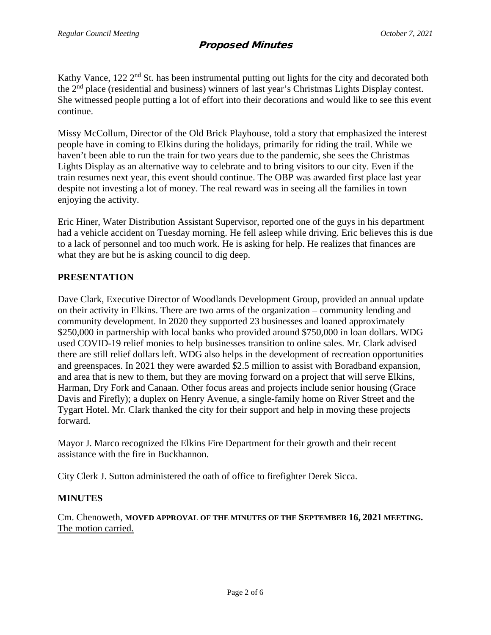Kathy Vance,  $122 \, 2^{nd}$  St. has been instrumental putting out lights for the city and decorated both the 2nd place (residential and business) winners of last year's Christmas Lights Display contest. She witnessed people putting a lot of effort into their decorations and would like to see this event continue.

Missy McCollum, Director of the Old Brick Playhouse, told a story that emphasized the interest people have in coming to Elkins during the holidays, primarily for riding the trail. While we haven't been able to run the train for two years due to the pandemic, she sees the Christmas Lights Display as an alternative way to celebrate and to bring visitors to our city. Even if the train resumes next year, this event should continue. The OBP was awarded first place last year despite not investing a lot of money. The real reward was in seeing all the families in town enjoying the activity.

Eric Hiner, Water Distribution Assistant Supervisor, reported one of the guys in his department had a vehicle accident on Tuesday morning. He fell asleep while driving. Eric believes this is due to a lack of personnel and too much work. He is asking for help. He realizes that finances are what they are but he is asking council to dig deep.

#### **PRESENTATION**

Dave Clark, Executive Director of Woodlands Development Group, provided an annual update on their activity in Elkins. There are two arms of the organization – community lending and community development. In 2020 they supported 23 businesses and loaned approximately \$250,000 in partnership with local banks who provided around \$750,000 in loan dollars. WDG used COVID-19 relief monies to help businesses transition to online sales. Mr. Clark advised there are still relief dollars left. WDG also helps in the development of recreation opportunities and greenspaces. In 2021 they were awarded \$2.5 million to assist with Boradband expansion, and area that is new to them, but they are moving forward on a project that will serve Elkins, Harman, Dry Fork and Canaan. Other focus areas and projects include senior housing (Grace Davis and Firefly); a duplex on Henry Avenue, a single-family home on River Street and the Tygart Hotel. Mr. Clark thanked the city for their support and help in moving these projects forward.

Mayor J. Marco recognized the Elkins Fire Department for their growth and their recent assistance with the fire in Buckhannon.

City Clerk J. Sutton administered the oath of office to firefighter Derek Sicca.

#### **MINUTES**

Cm. Chenoweth, **MOVED APPROVAL OF THE MINUTES OF THE SEPTEMBER 16, 2021 MEETING.** The motion carried.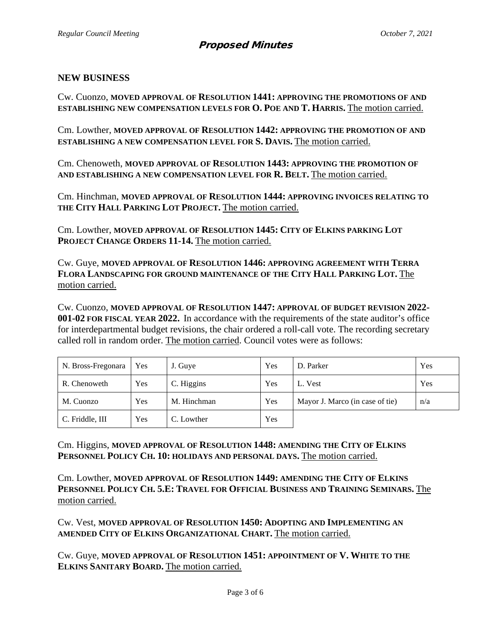#### **NEW BUSINESS**

Cw. Cuonzo, **MOVED APPROVAL OF RESOLUTION 1441: APPROVING THE PROMOTIONS OF AND ESTABLISHING NEW COMPENSATION LEVELS FOR O. POE AND T. HARRIS.** The motion carried.

Cm. Lowther, **MOVED APPROVAL OF RESOLUTION 1442: APPROVING THE PROMOTION OF AND ESTABLISHING A NEW COMPENSATION LEVEL FOR S. DAVIS.** The motion carried.

Cm. Chenoweth, **MOVED APPROVAL OF RESOLUTION 1443: APPROVING THE PROMOTION OF AND ESTABLISHING A NEW COMPENSATION LEVEL FOR R. BELT.** The motion carried.

Cm. Hinchman, **MOVED APPROVAL OF RESOLUTION 1444: APPROVING INVOICES RELATING TO THE CITY HALL PARKING LOT PROJECT.** The motion carried.

Cm. Lowther, **MOVED APPROVAL OF RESOLUTION 1445: CITY OF ELKINS PARKING LOT PROJECT CHANGE ORDERS 11-14.** The motion carried.

Cw. Guye, **MOVED APPROVAL OF RESOLUTION 1446: APPROVING AGREEMENT WITH TERRA FLORA LANDSCAPING FOR GROUND MAINTENANCE OF THE CITY HALL PARKING LOT.** The motion carried.

Cw. Cuonzo, **MOVED APPROVAL OF RESOLUTION 1447: APPROVAL OF BUDGET REVISION 2022- 001-02 FOR FISCAL YEAR 2022.** In accordance with the requirements of the state auditor's office for interdepartmental budget revisions, the chair ordered a roll-call vote. The recording secretary called roll in random order. The motion carried. Council votes were as follows:

| N. Bross-Fregonara | Yes | J. Guye     | Yes | D. Parker                       | Yes |
|--------------------|-----|-------------|-----|---------------------------------|-----|
| R. Chenoweth       | Yes | C. Higgins  | Yes | L. Vest                         | Yes |
| M. Cuonzo          | Yes | M. Hinchman | Yes | Mayor J. Marco (in case of tie) | n/a |
| C. Friddle, III    | Yes | C. Lowther  | Yes |                                 |     |

Cm. Higgins, **MOVED APPROVAL OF RESOLUTION 1448: AMENDING THE CITY OF ELKINS PERSONNEL POLICY CH. 10: HOLIDAYS AND PERSONAL DAYS.** The motion carried.

Cm. Lowther, **MOVED APPROVAL OF RESOLUTION 1449: AMENDING THE CITY OF ELKINS PERSONNEL POLICY CH. 5.E: TRAVEL FOR OFFICIAL BUSINESS AND TRAINING SEMINARS.** The motion carried.

Cw. Vest, **MOVED APPROVAL OF RESOLUTION 1450: ADOPTING AND IMPLEMENTING AN AMENDED CITY OF ELKINS ORGANIZATIONAL CHART.** The motion carried.

Cw. Guye, **MOVED APPROVAL OF RESOLUTION 1451: APPOINTMENT OF V. WHITE TO THE ELKINS SANITARY BOARD.** The motion carried.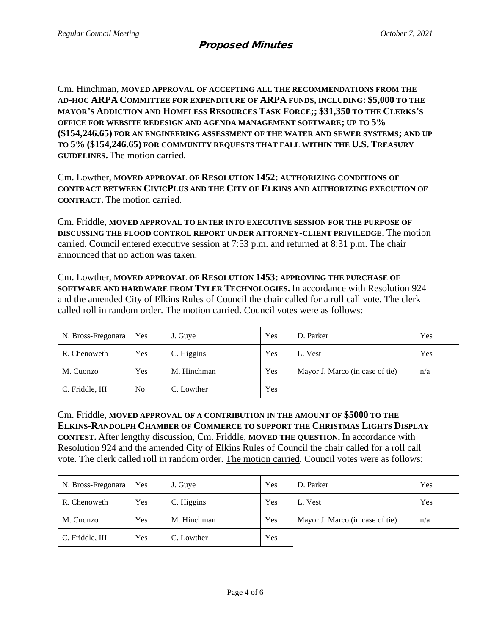Cm. Hinchman, **MOVED APPROVAL OF ACCEPTING ALL THE RECOMMENDATIONS FROM THE AD-HOC ARPA COMMITTEE FOR EXPENDITURE OF ARPA FUNDS, INCLUDING: \$5,000 TO THE MAYOR'S ADDICTION AND HOMELESS RESOURCES TASK FORCE;; \$31,350 TO THE CLERKS'S OFFICE FOR WEBSITE REDESIGN AND AGENDA MANAGEMENT SOFTWARE; UP TO 5% (\$154,246.65) FOR AN ENGINEERING ASSESSMENT OF THE WATER AND SEWER SYSTEMS; AND UP TO 5% (\$154,246.65) FOR COMMUNITY REQUESTS THAT FALL WITHIN THE U.S. TREASURY GUIDELINES.** The motion carried.

Cm. Lowther, **MOVED APPROVAL OF RESOLUTION 1452: AUTHORIZING CONDITIONS OF CONTRACT BETWEEN CIVICPLUS AND THE CITY OF ELKINS AND AUTHORIZING EXECUTION OF CONTRACT.** The motion carried.

Cm. Friddle, **MOVED APPROVAL TO ENTER INTO EXECUTIVE SESSION FOR THE PURPOSE OF DISCUSSING THE FLOOD CONTROL REPORT UNDER ATTORNEY-CLIENT PRIVILEDGE.** The motion carried. Council entered executive session at 7:53 p.m. and returned at 8:31 p.m. The chair announced that no action was taken.

Cm. Lowther, **MOVED APPROVAL OF RESOLUTION 1453: APPROVING THE PURCHASE OF SOFTWARE AND HARDWARE FROM TYLER TECHNOLOGIES.** In accordance with Resolution 924 and the amended City of Elkins Rules of Council the chair called for a roll call vote. The clerk called roll in random order. The motion carried. Council votes were as follows:

| N. Bross-Fregonara | Yes            | J. Guye     | Yes | D. Parker                       | Yes |
|--------------------|----------------|-------------|-----|---------------------------------|-----|
| R. Chenoweth       | Yes            | C. Higgins  | Yes | L. Vest                         | Yes |
| M. Cuonzo          | Yes            | M. Hinchman | Yes | Mayor J. Marco (in case of tie) | n/a |
| C. Friddle, III    | N <sub>o</sub> | C. Lowther  | Yes |                                 |     |

Cm. Friddle, **MOVED APPROVAL OF A CONTRIBUTION IN THE AMOUNT OF \$5000 TO THE ELKINS-RANDOLPH CHAMBER OF COMMERCE TO SUPPORT THE CHRISTMAS LIGHTS DISPLAY CONTEST.** After lengthy discussion, Cm. Friddle, **MOVED THE QUESTION.** In accordance with Resolution 924 and the amended City of Elkins Rules of Council the chair called for a roll call vote. The clerk called roll in random order. The motion carried. Council votes were as follows:

| N. Bross-Fregonara | Yes | J. Guye     | Yes | D. Parker                       | Yes |
|--------------------|-----|-------------|-----|---------------------------------|-----|
| R. Chenoweth       | Yes | C. Higgins  | Yes | L. Vest                         | Yes |
| M. Cuonzo          | Yes | M. Hinchman | Yes | Mayor J. Marco (in case of tie) | n/a |
| C. Friddle, III    | Yes | C. Lowther  | Yes |                                 |     |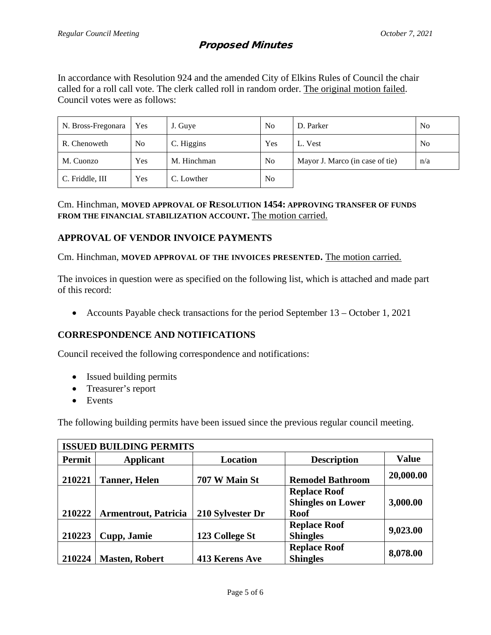In accordance with Resolution 924 and the amended City of Elkins Rules of Council the chair called for a roll call vote. The clerk called roll in random order. The original motion failed. Council votes were as follows:

| N. Bross-Fregonara | Yes | J. Guye     | N <sub>0</sub> | D. Parker                       | N <sub>o</sub> |
|--------------------|-----|-------------|----------------|---------------------------------|----------------|
| R. Chenoweth       | No. | C. Higgins  | Yes            | L. Vest                         | N <sub>0</sub> |
| M. Cuonzo          | Yes | M. Hinchman | N <sub>o</sub> | Mayor J. Marco (in case of tie) | n/a            |
| C. Friddle, III    | Yes | C. Lowther  | N <sub>o</sub> |                                 |                |

Cm. Hinchman, **MOVED APPROVAL OF RESOLUTION 1454: APPROVING TRANSFER OF FUNDS FROM THE FINANCIAL STABILIZATION ACCOUNT.** The motion carried.

## **APPROVAL OF VENDOR INVOICE PAYMENTS**

Cm. Hinchman, **MOVED APPROVAL OF THE INVOICES PRESENTED.** The motion carried.

The invoices in question were as specified on the following list, which is attached and made part of this record:

• Accounts Payable check transactions for the period September 13 – October 1, 2021

#### **CORRESPONDENCE AND NOTIFICATIONS**

Council received the following correspondence and notifications:

- Issued building permits
- Treasurer's report
- Events

The following building permits have been issued since the previous regular council meeting.

| <b>ISSUED BUILDING PERMITS</b> |                             |                  |                                                                |              |  |  |
|--------------------------------|-----------------------------|------------------|----------------------------------------------------------------|--------------|--|--|
| Permit                         | <b>Applicant</b>            | <b>Location</b>  | <b>Description</b>                                             | <b>Value</b> |  |  |
| 210221                         | <b>Tanner</b> , Helen       | 707 W Main St    | <b>Remodel Bathroom</b>                                        | 20,000.00    |  |  |
| 210222                         | <b>Armentrout, Patricia</b> | 210 Sylvester Dr | <b>Replace Roof</b><br><b>Shingles on Lower</b><br><b>Roof</b> | 3,000.00     |  |  |
| 210223                         | Cupp, Jamie                 | 123 College St   | <b>Replace Roof</b><br><b>Shingles</b>                         | 9,023.00     |  |  |
| 210224                         | <b>Masten, Robert</b>       | 413 Kerens Ave   | <b>Replace Roof</b><br><b>Shingles</b>                         | 8,078.00     |  |  |